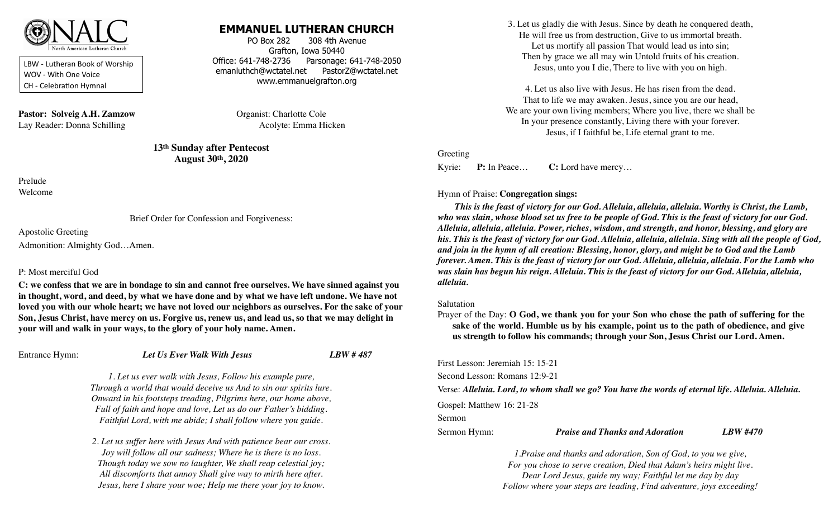

LBW - Lutheran Book of Worship WOV - With One Voice CH - Celebration Hymnal

Pastor: Solveig A.H. Zamzow Organist: Charlotte Cole Lay Reader: Donna Schilling and Acolyte: Emma Hicken

# **EMMANUEL LUTHERAN CHURCH**

PO Box 282 308 4th Avenue Grafton, Iowa 50440 Office: 641-748-2736 Parsonage: 641-748-2050 emanluthch@wctatel.net PastorZ@wctatel.net www.emmanuelgrafton.org

**13th Sunday after Pentecost August 30th, 2020**

Prelude Welcome

Brief Order for Confession and Forgiveness:

Apostolic Greeting Admonition: Almighty God…Amen.

### P: Most merciful God

**C: we confess that we are in bondage to sin and cannot free ourselves. We have sinned against you in thought, word, and deed, by what we have done and by what we have left undone. We have not loved you with our whole heart; we have not loved our neighbors as ourselves. For the sake of your Son, Jesus Christ, have mercy on us. Forgive us, renew us, and lead us, so that we may delight in your will and walk in your ways, to the glory of your holy name. Amen.**

Entrance Hymn: *Let Us Ever Walk With Jesus LBW # 487*

*1. Let us ever walk with Jesus, Follow his example pure, Through a world that would deceive us And to sin our spirits lure. Onward in his footsteps treading, Pilgrims here, our home above, Full of faith and hope and love, Let us do our Father's bidding. Faithful Lord, with me abide; I shall follow where you guide.*

*2. Let us suffer here with Jesus And with patience bear our cross. Joy will follow all our sadness; Where he is there is no loss. Though today we sow no laughter, We shall reap celestial joy; All discomforts that annoy Shall give way to mirth here after. Jesus, here I share your woe; Help me there your joy to know.*

3. Let us gladly die with Jesus. Since by death he conquered death, He will free us from destruction, Give to us immortal breath. Let us mortify all passion That would lead us into sin; Then by grace we all may win Untold fruits of his creation. Jesus, unto you I die, There to live with you on high.

4. Let us also live with Jesus. He has risen from the dead. That to life we may awaken. Jesus, since you are our head, We are your own living members; Where you live, there we shall be In your presence constantly, Living there with your forever. Jesus, if I faithful be, Life eternal grant to me.

Greeting

Kyrie: **P:** In Peace… **C:** Lord have mercy…

## Hymn of Praise: **Congregation sings:**

 *This is the feast of victory for our God. Alleluia, alleluia, alleluia. Worthy is Christ, the Lamb, who was slain, whose blood set us free to be people of God. This is the feast of victory for our God. Alleluia, alleluia, alleluia. Power, riches, wisdom, and strength, and honor, blessing, and glory are his. This is the feast of victory for our God. Alleluia, alleluia, alleluia. Sing with all the people of God, and join in the hymn of all creation: Blessing, honor, glory, and might be to God and the Lamb forever. Amen. This is the feast of victory for our God. Alleluia, alleluia, alleluia. For the Lamb who was slain has begun his reign. Alleluia. This is the feast of victory for our God. Alleluia, alleluia, alleluia.*

### Salutation

Prayer of the Day: **O God, we thank you for your Son who chose the path of suffering for the sake of the world. Humble us by his example, point us to the path of obedience, and give us strength to follow his commands; through your Son, Jesus Christ our Lord. Amen.** 

First Lesson: Jeremiah 15: 15-21

Second Lesson: Romans 12:9-21

Verse: *Alleluia. Lord, to whom shall we go? You have the words of eternal life. Alleluia. Alleluia.*

Gospel: Matthew 16: 21-28

Sermon

# Sermon Hymn: *Praise and Thanks and Adoration LBW #470*

*1.Praise and thanks and adoration, Son of God, to you we give, For you chose to serve creation, Died that Adam's heirs might live. Dear Lord Jesus, guide my way; Faithful let me day by day Follow where your steps are leading, Find adventure, joys exceeding!*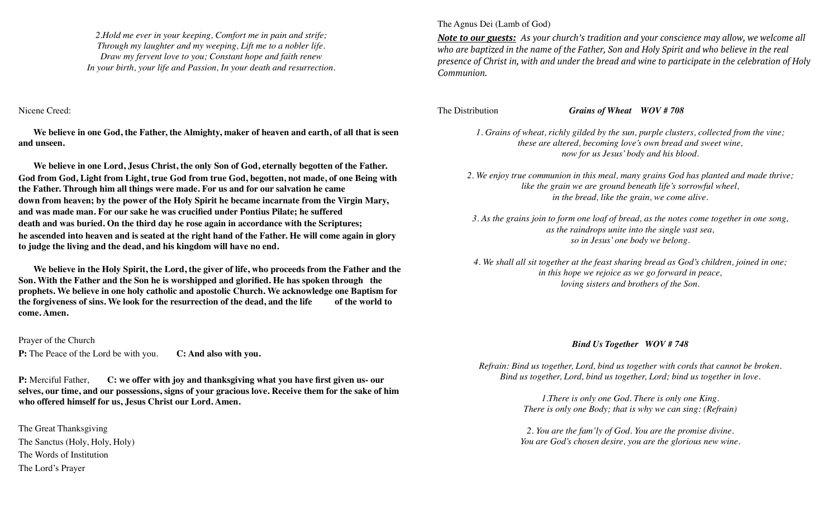*2.Hold me ever in your keeping, Comfort me in pain and strife; Through my laughter and my weeping, Lift me to a nobler life. Draw my fervent love to you; Constant hope and faith renew In your birth, your life and Passion, In your death and resurrection.*

Nicene Creed:

**We believe in one God, the Father, the Almighty, maker of heaven and earth, of all that is seen and unseen.**

**We believe in one Lord, Jesus Christ, the only Son of God, eternally begotten of the Father. God from God, Light from Light, true God from true God, begotten, not made, of one Being with the Father. Through him all things were made. For us and for our salvation he came down from heaven; by the power of the Holy Spirit he became incarnate from the Virgin Mary, and was made man. For our sake he was crucified under Pontius Pilate; he suffered death and was buried. On the third day he rose again in accordance with the Scriptures; he ascended into heaven and is seated at the right hand of the Father. He will come again in glory to judge the living and the dead, and his kingdom will have no end.**

**We believe in the Holy Spirit, the Lord, the giver of life, who proceeds from the Father and the Son. With the Father and the Son he is worshipped and glorified. He has spoken through the prophets. We believe in one holy catholic and apostolic Church. We acknowledge one Baptism for the forgiveness of sins. We look for the resurrection of the dead, and the life of the world to come. Amen.**

Prayer of the Church **P:** The Peace of the Lord be with you. **C: And also with you.**

**P:** Merciful Father, **C: we offer with joy and thanksgiving what you have first given us- our selves, our time, and our possessions, signs of your gracious love. Receive them for the sake of him who offered himself for us, Jesus Christ our Lord. Amen.**

The Great Thanksgiving The Sanctus (Holy, Holy, Holy) The Words of Institution The Lord's Prayer

The Agnus Dei (Lamb of God)

*Note to our guests: As your church's tradition and your conscience may allow, we welcome all who are baptized in the name of the Father, Son and Holy Spirit and who believe in the real presence of Christ in, with and under the bread and wine to participate in the celebration of Holy Communion.* 

The Distribution *Grains of Wheat WOV # 708*

*1. Grains of wheat, richly gilded by the sun, purple clusters, collected from the vine; these are altered, becoming love's own bread and sweet wine, now for us Jesus' body and his blood.* 

*2. We enjoy true communion in this meal, many grains God has planted and made thrive; like the grain we are ground beneath life's sorrowful wheel, in the bread, like the grain, we come alive.* 

*3. As the grains join to form one loaf of bread, as the notes come together in one song, as the raindrops unite into the single vast sea, so in Jesus' one body we belong.* 

*4. We shall all sit together at the feast sharing bread as God's children, joined in one; in this hope we rejoice as we go forward in peace, loving sisters and brothers of the Son.* 

# *Bind Us Together WOV # 748*

*Refrain: Bind us together, Lord, bind us together with cords that cannot be broken. Bind us together, Lord, bind us together, Lord; bind us together in love.* 

> *1.There is only one God. There is only one King. There is only one Body; that is why we can sing: (Refrain)*

*2. You are the fam'ly of God. You are the promise divine. You are God's chosen desire, you are the glorious new wine.*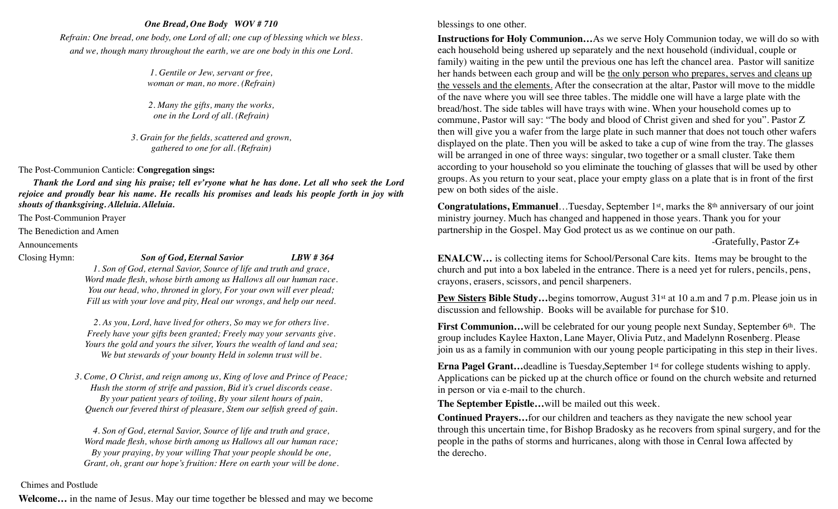#### *One Bread, One Body WOV # 710*

*Refrain: One bread, one body, one Lord of all; one cup of blessing which we bless. and we, though many throughout the earth, we are one body in this one Lord.*

> *1. Gentile or Jew, servant or free, woman or man, no more. (Refrain)*

*2. Many the gifts, many the works, one in the Lord of all. (Refrain)* 

*3. Grain for the fields, scattered and grown, gathered to one for all. (Refrain)* 

The Post-Communion Canticle: **Congregation sings:** 

*Thank the Lord and sing his praise; tell ev'ryone what he has done. Let all who seek the Lord rejoice and proudly bear his name. He recalls his promises and leads his people forth in joy with shouts of thanksgiving. Alleluia. Alleluia.*

The Post-Communion Prayer

The Benediction and Amen

#### Announcements

## Closing Hymn: *Son of God, Eternal Savior LBW # 364*

*1. Son of God, eternal Savior, Source of life and truth and grace, Word made flesh, whose birth among us Hallows all our human race. You our head, who, throned in glory, For your own will ever plead; Fill us with your love and pity, Heal our wrongs, and help our need.* 

*2. As you, Lord, have lived for others, So may we for others live. Freely have your gifts been granted; Freely may your servants give. Yours the gold and yours the silver, Yours the wealth of land and sea; We but stewards of your bounty Held in solemn trust will be.* 

*3. Come, O Christ, and reign among us, King of love and Prince of Peace; Hush the storm of strife and passion, Bid it's cruel discords cease. By your patient years of toiling, By your silent hours of pain, Quench our fevered thirst of pleasure, Stem our selfish greed of gain.* 

*4. Son of God, eternal Savior, Source of life and truth and grace, Word made flesh, whose birth among us Hallows all our human race; By your praying, by your willing That your people should be one, Grant, oh, grant our hope's fruition: Here on earth your will be done.* 

Chimes and Postlude

**Welcome…** in the name of Jesus. May our time together be blessed and may we become

#### blessings to one other.

**Instructions for Holy Communion…**As we serve Holy Communion today, we will do so with each household being ushered up separately and the next household (individual, couple or family) waiting in the pew until the previous one has left the chancel area. Pastor will sanitize her hands between each group and will be the only person who prepares, serves and cleans up the vessels and the elements. After the consecration at the altar, Pastor will move to the middle of the nave where you will see three tables. The middle one will have a large plate with the bread/host. The side tables will have trays with wine. When your household comes up to commune, Pastor will say: "The body and blood of Christ given and shed for you". Pastor Z then will give you a wafer from the large plate in such manner that does not touch other wafers displayed on the plate. Then you will be asked to take a cup of wine from the tray. The glasses will be arranged in one of three ways: singular, two together or a small cluster. Take them according to your household so you eliminate the touching of glasses that will be used by other groups. As you return to your seat, place your empty glass on a plate that is in front of the first pew on both sides of the aisle.

**Congratulations, Emmanuel**…Tuesday, September 1st, marks the 8th anniversary of our joint ministry journey. Much has changed and happened in those years. Thank you for your partnership in the Gospel. May God protect us as we continue on our path.

-Gratefully, Pastor Z+

**ENALCW…** is collecting items for School/Personal Care kits. Items may be brought to the church and put into a box labeled in the entrance. There is a need yet for rulers, pencils, pens, crayons, erasers, scissors, and pencil sharpeners.

**Pew Sisters Bible Study...** begins tomorrow, August 31<sup>st</sup> at 10 a.m and 7 p.m. Please join us in discussion and fellowship. Books will be available for purchase for \$10.

First Communion...will be celebrated for our young people next Sunday, September 6<sup>th</sup>. The group includes Kaylee Haxton, Lane Mayer, Olivia Putz, and Madelynn Rosenberg. Please join us as a family in communion with our young people participating in this step in their lives.

**Erna Pagel Grant…**deadline is Tuesday,September 1st for college students wishing to apply. Applications can be picked up at the church office or found on the church website and returned in person or via e-mail to the church.

**The September Epistle…**will be mailed out this week.

**Continued Prayers…**for our children and teachers as they navigate the new school year through this uncertain time, for Bishop Bradosky as he recovers from spinal surgery, and for the people in the paths of storms and hurricanes, along with those in Cenral Iowa affected by the derecho.